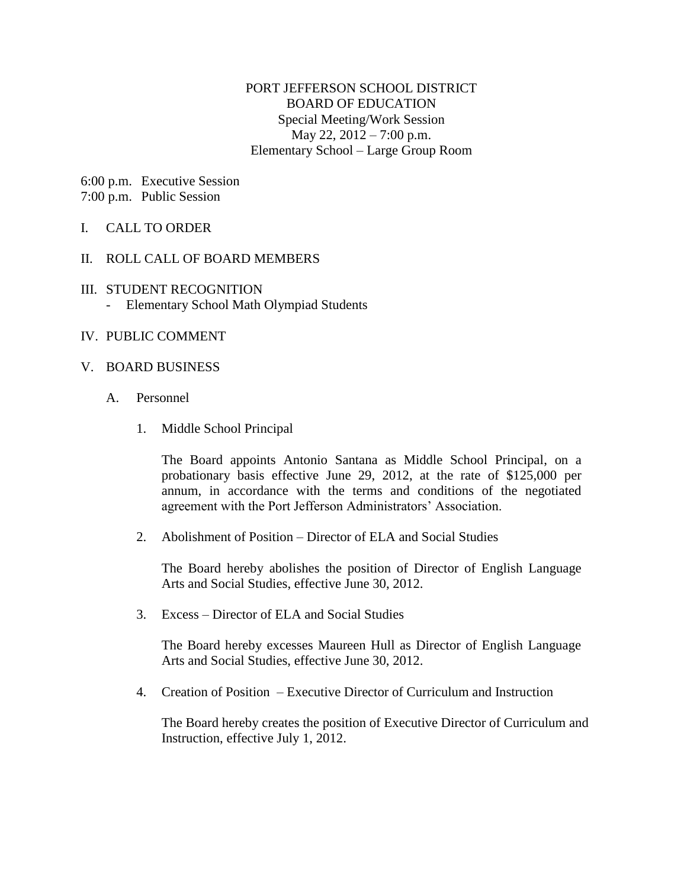## PORT JEFFERSON SCHOOL DISTRICT BOARD OF EDUCATION Special Meeting/Work Session May 22, 2012 – 7:00 p.m. Elementary School – Large Group Room

6:00 p.m. Executive Session 7:00 p.m. Public Session

## I. CALL TO ORDER

### II. ROLL CALL OF BOARD MEMBERS

#### III. STUDENT RECOGNITION - Elementary School Math Olympiad Students

### IV. PUBLIC COMMENT

#### V. BOARD BUSINESS

- A. Personnel
	- 1. Middle School Principal

The Board appoints Antonio Santana as Middle School Principal, on a probationary basis effective June 29, 2012, at the rate of \$125,000 per annum, in accordance with the terms and conditions of the negotiated agreement with the Port Jefferson Administrators' Association.

2. Abolishment of Position – Director of ELA and Social Studies

The Board hereby abolishes the position of Director of English Language Arts and Social Studies, effective June 30, 2012.

3. Excess – Director of ELA and Social Studies

The Board hereby excesses Maureen Hull as Director of English Language Arts and Social Studies, effective June 30, 2012.

4. Creation of Position – Executive Director of Curriculum and Instruction

The Board hereby creates the position of Executive Director of Curriculum and Instruction, effective July 1, 2012.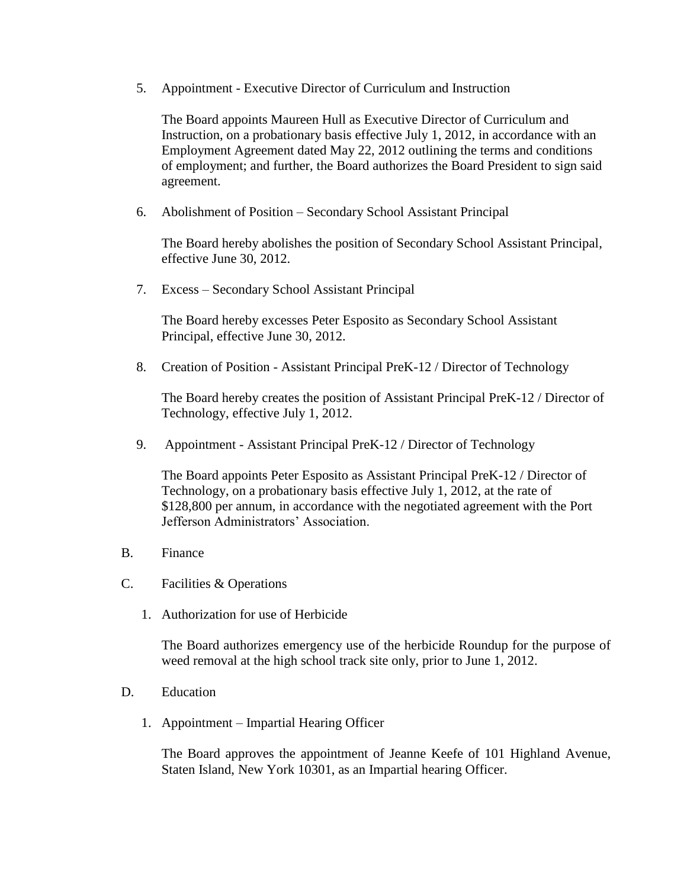5. Appointment - Executive Director of Curriculum and Instruction

The Board appoints Maureen Hull as Executive Director of Curriculum and Instruction, on a probationary basis effective July 1, 2012, in accordance with an Employment Agreement dated May 22, 2012 outlining the terms and conditions of employment; and further, the Board authorizes the Board President to sign said agreement.

6. Abolishment of Position – Secondary School Assistant Principal

The Board hereby abolishes the position of Secondary School Assistant Principal, effective June 30, 2012.

7. Excess – Secondary School Assistant Principal

The Board hereby excesses Peter Esposito as Secondary School Assistant Principal, effective June 30, 2012.

8. Creation of Position - Assistant Principal PreK-12 / Director of Technology

The Board hereby creates the position of Assistant Principal PreK-12 / Director of Technology, effective July 1, 2012.

9. Appointment - Assistant Principal PreK-12 / Director of Technology

The Board appoints Peter Esposito as Assistant Principal PreK-12 / Director of Technology, on a probationary basis effective July 1, 2012, at the rate of \$128,800 per annum, in accordance with the negotiated agreement with the Port Jefferson Administrators' Association.

- B. Finance
- C. Facilities & Operations
	- 1. Authorization for use of Herbicide

The Board authorizes emergency use of the herbicide Roundup for the purpose of weed removal at the high school track site only, prior to June 1, 2012.

- D. Education
	- 1. Appointment Impartial Hearing Officer

The Board approves the appointment of Jeanne Keefe of 101 Highland Avenue, Staten Island, New York 10301, as an Impartial hearing Officer.